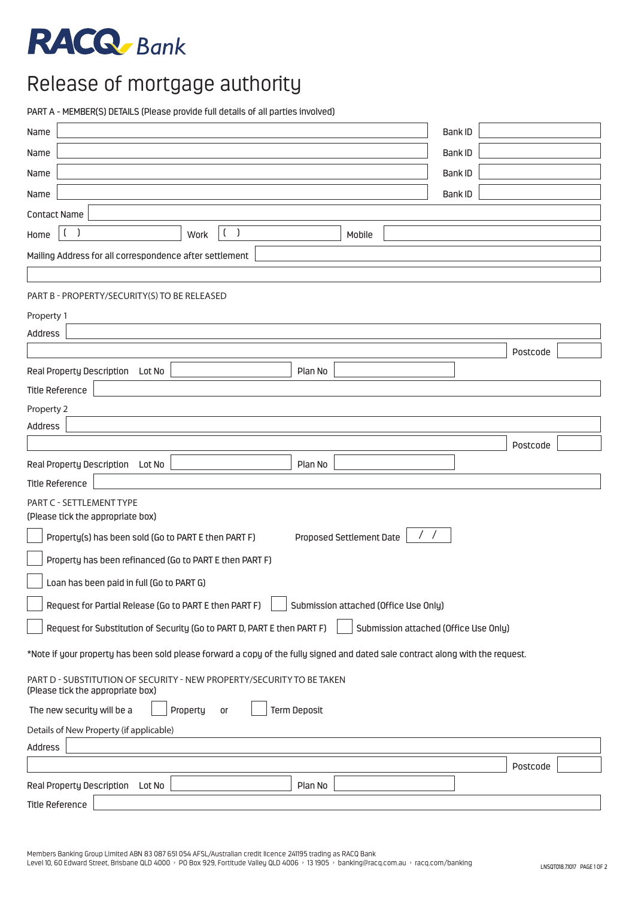## **RACQ** Bank

## Release of mortgage authority

PART A - MEMBER(S) DETAILS (Please provide full details of all parties involved)

| Name                                                                                                                           | <b>Bank ID</b> |  |  |  |  |  |  |  |  |  |  |  |  |
|--------------------------------------------------------------------------------------------------------------------------------|----------------|--|--|--|--|--|--|--|--|--|--|--|--|
| Name                                                                                                                           | <b>Bank ID</b> |  |  |  |  |  |  |  |  |  |  |  |  |
| Name                                                                                                                           | <b>Bank ID</b> |  |  |  |  |  |  |  |  |  |  |  |  |
| Name                                                                                                                           | <b>Bank ID</b> |  |  |  |  |  |  |  |  |  |  |  |  |
| <b>Contact Name</b>                                                                                                            |                |  |  |  |  |  |  |  |  |  |  |  |  |
| - )<br>)<br>C<br>Home<br>Work<br>Mobile                                                                                        |                |  |  |  |  |  |  |  |  |  |  |  |  |
| Mailing Address for all correspondence after settlement                                                                        |                |  |  |  |  |  |  |  |  |  |  |  |  |
|                                                                                                                                |                |  |  |  |  |  |  |  |  |  |  |  |  |
| PART B - PROPERTY/SECURITY(S) TO BE RELEASED                                                                                   |                |  |  |  |  |  |  |  |  |  |  |  |  |
| Property 1                                                                                                                     |                |  |  |  |  |  |  |  |  |  |  |  |  |
| Address                                                                                                                        |                |  |  |  |  |  |  |  |  |  |  |  |  |
|                                                                                                                                | Postcode       |  |  |  |  |  |  |  |  |  |  |  |  |
| Real Property Description<br>Lot No<br>Plan No                                                                                 |                |  |  |  |  |  |  |  |  |  |  |  |  |
| <b>Title Reference</b>                                                                                                         |                |  |  |  |  |  |  |  |  |  |  |  |  |
| Property 2                                                                                                                     |                |  |  |  |  |  |  |  |  |  |  |  |  |
| <b>Address</b>                                                                                                                 |                |  |  |  |  |  |  |  |  |  |  |  |  |
|                                                                                                                                | Postcode       |  |  |  |  |  |  |  |  |  |  |  |  |
| Real Property Description<br>Plan No<br>Lot No                                                                                 |                |  |  |  |  |  |  |  |  |  |  |  |  |
| <b>Title Reference</b>                                                                                                         |                |  |  |  |  |  |  |  |  |  |  |  |  |
| PART C - SETTLEMENT TYPE<br>(Please tick the appropriate box)                                                                  |                |  |  |  |  |  |  |  |  |  |  |  |  |
| $\sqrt{2}$<br>Property(s) has been sold (Go to PART E then PART F)<br>Proposed Settlement Date                                 |                |  |  |  |  |  |  |  |  |  |  |  |  |
| Property has been refinanced (Go to PART E then PART F)                                                                        |                |  |  |  |  |  |  |  |  |  |  |  |  |
| Loan has been paid in full (Go to PART G)                                                                                      |                |  |  |  |  |  |  |  |  |  |  |  |  |
| $\overline{\phantom{0}}$<br>Request for Partial Release (Go to PART E then PART F)<br>Submission attached (Office Use Only)    |                |  |  |  |  |  |  |  |  |  |  |  |  |
| Request for Substitution of Security (Go to PART D, PART E then PART F)<br>Submission attached (Office Use Only)               |                |  |  |  |  |  |  |  |  |  |  |  |  |
| *Note if your property has been sold please forward a copy of the fully signed and dated sale contract along with the request. |                |  |  |  |  |  |  |  |  |  |  |  |  |
| PART D - SUBSTITUTION OF SECURITY - NEW PROPERTY/SECURITY TO BE TAKEN<br>(Please tick the appropriate box)                     |                |  |  |  |  |  |  |  |  |  |  |  |  |
| The new security will be a<br><b>Term Deposit</b><br>Property<br>or                                                            |                |  |  |  |  |  |  |  |  |  |  |  |  |
| Details of New Property (if applicable)                                                                                        |                |  |  |  |  |  |  |  |  |  |  |  |  |
| Address                                                                                                                        |                |  |  |  |  |  |  |  |  |  |  |  |  |
|                                                                                                                                | Postcode       |  |  |  |  |  |  |  |  |  |  |  |  |
| Real Property Description<br>Lot No<br>Plan No                                                                                 |                |  |  |  |  |  |  |  |  |  |  |  |  |
| <b>Title Reference</b>                                                                                                         |                |  |  |  |  |  |  |  |  |  |  |  |  |